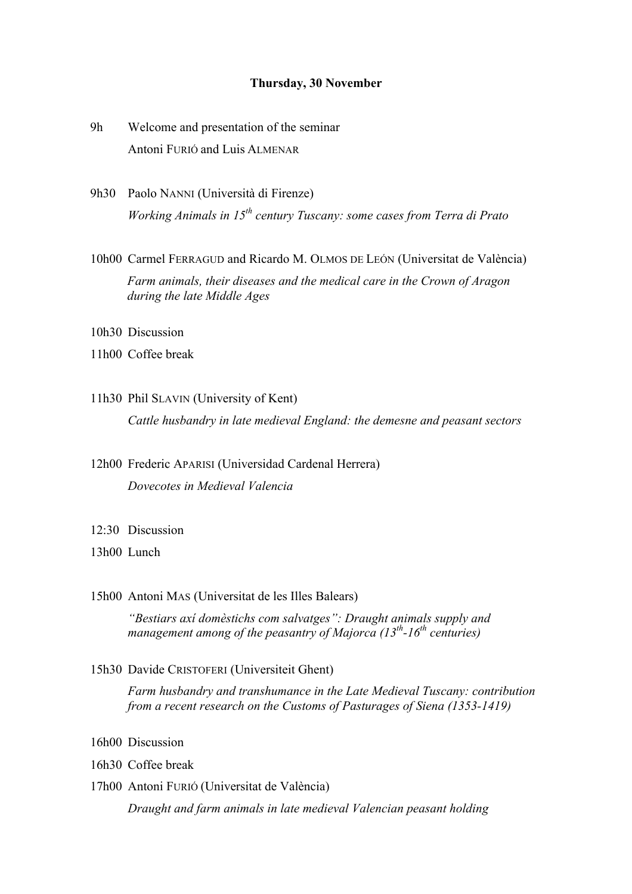## **Thursday, 30 November**

- 9h Welcome and presentation of the seminar Antoni FURIÓ and Luis ALMENAR
- 9h30 Paolo NANNI (Università di Firenze) *Working Animals in 15th century Tuscany: some cases from Terra di Prato*
- 10h00 Carmel FERRAGUD and Ricardo M. OLMOS DE LEÓN (Universitat de València) *Farm animals, their diseases and the medical care in the Crown of Aragon during the late Middle Ages*
- 10h30 Discussion
- 11h00 Coffee break
- 11h30 Phil SLAVIN (University of Kent) *Cattle husbandry in late medieval England: the demesne and peasant sectors*
- 12h00 Frederic APARISI (Universidad Cardenal Herrera) *Dovecotes in Medieval Valencia*
- 12:30 Discussion
- 13h00 Lunch
- 15h00 Antoni MAS (Universitat de les Illes Balears)

*"Bestiars axí domèstichs com salvatges": Draught animals supply and management among of the peasantry of Majorca (13th-16th centuries)*

15h30 Davide CRISTOFERI (Universiteit Ghent)

*Farm husbandry and transhumance in the Late Medieval Tuscany: contribution from a recent research on the Customs of Pasturages of Siena (1353-1419)*

- 16h00 Discussion
- 16h30 Coffee break
- 17h00 Antoni FURIÓ (Universitat de València)

*Draught and farm animals in late medieval Valencian peasant holding*